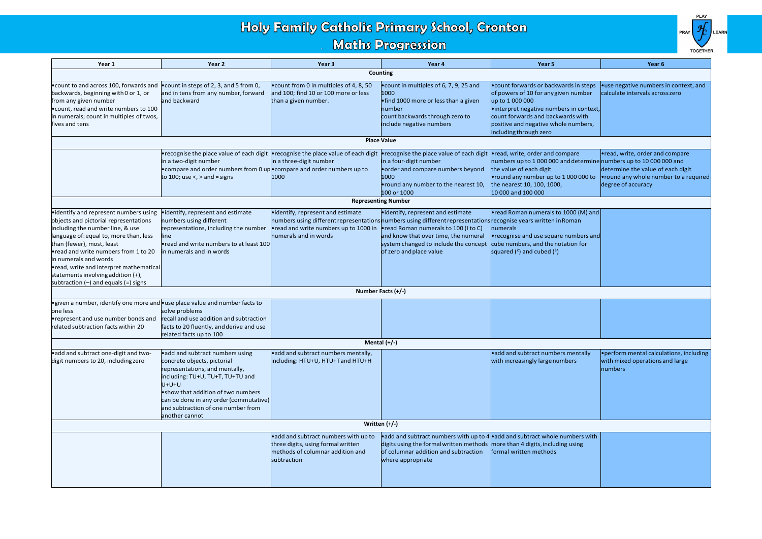| Year 1                                                                                                                                                                                                                                                                                                                                                                                    | Year 2                                                                                                                                                                                                                                                                                         | Year 3                                                                                                                                                                                                                    | Year 4                                                                                                                                                                                         | Year 5                                                                                                                                                                                                                                              | Year 6                                                                                                                                       |  |  |
|-------------------------------------------------------------------------------------------------------------------------------------------------------------------------------------------------------------------------------------------------------------------------------------------------------------------------------------------------------------------------------------------|------------------------------------------------------------------------------------------------------------------------------------------------------------------------------------------------------------------------------------------------------------------------------------------------|---------------------------------------------------------------------------------------------------------------------------------------------------------------------------------------------------------------------------|------------------------------------------------------------------------------------------------------------------------------------------------------------------------------------------------|-----------------------------------------------------------------------------------------------------------------------------------------------------------------------------------------------------------------------------------------------------|----------------------------------------------------------------------------------------------------------------------------------------------|--|--|
|                                                                                                                                                                                                                                                                                                                                                                                           |                                                                                                                                                                                                                                                                                                |                                                                                                                                                                                                                           | <b>Counting</b>                                                                                                                                                                                |                                                                                                                                                                                                                                                     |                                                                                                                                              |  |  |
| . count to and across 100, forwards and<br>backwards, beginning with 0 or 1, or<br>from any given number<br>. count, read and write numbers to 100<br>in numerals; count in multiples of twos,<br>fives and tens                                                                                                                                                                          | <b>•</b> count in steps of 2, 3, and 5 from 0,<br>and in tens from any number, forward<br>and backward                                                                                                                                                                                         | . count from 0 in multiples of 4, 8, 50<br>and 100; find 10 or 100 more or less<br>than a given number.                                                                                                                   | . count in multiples of 6, 7, 9, 25 and<br>1000<br>$\bullet$ find 1000 more or less than a given<br>number<br>count backwards through zero to<br>include negative numbers                      | . count forwards or backwards in steps<br>of powers of 10 for any given number<br>up to 1 000 000<br>.interpret negative numbers in context,<br>count forwards and backwards with<br>positive and negative whole numbers,<br>including through zero | <b>.</b> use negative numbers in context, and<br>calculate intervals across zero                                                             |  |  |
|                                                                                                                                                                                                                                                                                                                                                                                           |                                                                                                                                                                                                                                                                                                | <b>Place Value</b>                                                                                                                                                                                                        |                                                                                                                                                                                                |                                                                                                                                                                                                                                                     |                                                                                                                                              |  |  |
|                                                                                                                                                                                                                                                                                                                                                                                           | in a two-digit number<br>• compare and order numbers from 0 up • compare and order numbers up to<br>to 100; use $\lt$ , $>$ and = signs                                                                                                                                                        | •recognise the place value of each digit  •recognise the place value of each digit  •recognise the place value of each digit<br>in a three-digit number<br>1000                                                           | in a four-digit number<br>order and compare numbers beyond<br>1000<br>. round any number to the nearest 10,<br>100 or 1000                                                                     | ●read, write, order and compare<br>numbers up to 1 000 000 and determine numbers up to 10 000 000 and<br>the value of each digit<br>. round any number up to 1 000 000 to<br>the nearest 10, 100, 1000,<br>10 000 and 100 000                       | <b>• read, write, order and compare</b><br>determine the value of each digit<br>. round any whole number to a required<br>degree of accuracy |  |  |
|                                                                                                                                                                                                                                                                                                                                                                                           |                                                                                                                                                                                                                                                                                                |                                                                                                                                                                                                                           | <b>Representing Number</b>                                                                                                                                                                     |                                                                                                                                                                                                                                                     |                                                                                                                                              |  |  |
| • identify and represent numbers using<br>objects and pictorial representations<br>including the number line, & use<br>language of: equal to, more than, less<br>than (fewer), most, least<br>•read and write numbers from 1 to 20<br>in numerals and words<br>• read, write and interpret mathematical<br>statements involving addition (+),<br>subtraction $(-)$ and equals $(=)$ signs | • identify, represent and estimate<br>numbers using different<br>representations, including the number<br>line<br>. read and write numbers to at least 100<br>in numerals and in words                                                                                                         | • identify, represent and estimate<br>numbers using different representations numbers using different representations recognise years written in Roman<br>. read and write numbers up to 1000 in<br>numerals and in words | • identify, represent and estimate<br><b>• read Roman numerals to 100 (I to C)</b><br>and know that over time, the numeral<br>system changed to include the concept<br>of zero and place value | ● read Roman numerals to 1000 (M) and<br>numerals<br>• recognise and use square numbers and<br>cube numbers, and the notation for<br>squared $(2)$ and cubed $(3)$                                                                                  |                                                                                                                                              |  |  |
|                                                                                                                                                                                                                                                                                                                                                                                           |                                                                                                                                                                                                                                                                                                |                                                                                                                                                                                                                           | Number Facts (+/-)                                                                                                                                                                             |                                                                                                                                                                                                                                                     |                                                                                                                                              |  |  |
| $\bullet$ given a number, identify one more and $\bullet$ use place value and number facts to<br>one less<br>• represent and use number bonds and<br>related subtraction facts within 20                                                                                                                                                                                                  | solve problems<br>recall and use addition and subtraction<br>facts to 20 fluently, and derive and use<br>related facts up to 100                                                                                                                                                               |                                                                                                                                                                                                                           |                                                                                                                                                                                                |                                                                                                                                                                                                                                                     |                                                                                                                                              |  |  |
|                                                                                                                                                                                                                                                                                                                                                                                           |                                                                                                                                                                                                                                                                                                |                                                                                                                                                                                                                           | Mental $(+/-)$                                                                                                                                                                                 |                                                                                                                                                                                                                                                     |                                                                                                                                              |  |  |
| .add and subtract one-digit and two-<br>digit numbers to 20, including zero                                                                                                                                                                                                                                                                                                               | • add and subtract numbers using<br>concrete objects, pictorial<br>representations, and mentally,<br>including: TU+U, TU+T, TU+TU and<br><b>U+U+U</b><br>. show that addition of two numbers<br>can be done in any order (commutative)<br>and subtraction of one number from<br>another cannot | • add and subtract numbers mentally,<br>including: HTU+U, HTU+T and HTU+H                                                                                                                                                 |                                                                                                                                                                                                | eadd and subtract numbers mentally<br>with increasingly large numbers                                                                                                                                                                               | · perform mental calculations, including<br>with mixed operations and large<br>numbers                                                       |  |  |
|                                                                                                                                                                                                                                                                                                                                                                                           | Written $(+/-)$                                                                                                                                                                                                                                                                                |                                                                                                                                                                                                                           |                                                                                                                                                                                                |                                                                                                                                                                                                                                                     |                                                                                                                                              |  |  |
|                                                                                                                                                                                                                                                                                                                                                                                           |                                                                                                                                                                                                                                                                                                | add and subtract numbers with up to<br>three digits, using formal written<br>methods of columnar addition and<br>subtraction                                                                                              | digits using the formal written methods $\frac{1}{2}$ more than 4 digits, including using<br>of columnar addition and subtraction<br>where appropriate                                         | • add and subtract numbers with up to $4$ • add and subtract whole numbers with<br>formal written methods                                                                                                                                           |                                                                                                                                              |  |  |

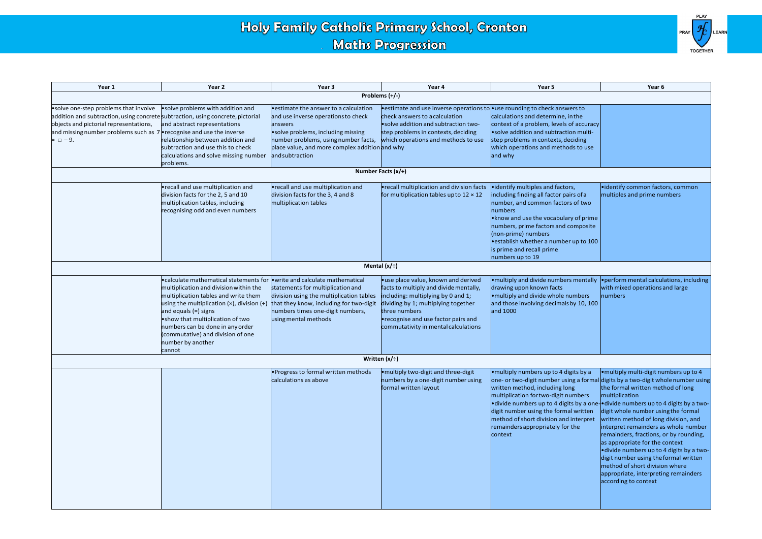| Year 1                                                                                                                                                                                                                                                      | Year 2                                                                                                                                                                                                                                                                                                                                                                                                                                | Year 3                                                                                                                                                                                                                                    | Year 4                                                                                                                                                                                                                                                      | Year 5                                                                                                                                                                                                                                                                                                                                                                                                                                                                   | Year 6                                                                                                                                                                                                                                                                                                                                                                                                                                                                                  |
|-------------------------------------------------------------------------------------------------------------------------------------------------------------------------------------------------------------------------------------------------------------|---------------------------------------------------------------------------------------------------------------------------------------------------------------------------------------------------------------------------------------------------------------------------------------------------------------------------------------------------------------------------------------------------------------------------------------|-------------------------------------------------------------------------------------------------------------------------------------------------------------------------------------------------------------------------------------------|-------------------------------------------------------------------------------------------------------------------------------------------------------------------------------------------------------------------------------------------------------------|--------------------------------------------------------------------------------------------------------------------------------------------------------------------------------------------------------------------------------------------------------------------------------------------------------------------------------------------------------------------------------------------------------------------------------------------------------------------------|-----------------------------------------------------------------------------------------------------------------------------------------------------------------------------------------------------------------------------------------------------------------------------------------------------------------------------------------------------------------------------------------------------------------------------------------------------------------------------------------|
|                                                                                                                                                                                                                                                             |                                                                                                                                                                                                                                                                                                                                                                                                                                       |                                                                                                                                                                                                                                           | Problems (+/-)                                                                                                                                                                                                                                              |                                                                                                                                                                                                                                                                                                                                                                                                                                                                          |                                                                                                                                                                                                                                                                                                                                                                                                                                                                                         |
| .solve one-step problems that involve<br>addition and subtraction, using concrete subtraction, using concrete, pictorial<br>objects and pictorial representations,<br>and missing number problems such as $7$ • recognise and use the inverse<br>$=$ $-$ 9. | .solve problems with addition and<br>and abstract representations<br>relationship between addition and<br>subtraction and use this to check<br>calculations and solve missing number<br>problems.                                                                                                                                                                                                                                     | estimate the answer to a calculation<br>and use inverse operations to check<br>answers<br>·solve problems, including missing<br>number problems, using number facts,<br>place value, and more complex addition and why<br>and subtraction | $\bullet$ estimate and use inverse operations to $\bullet$ use rounding to check answers to<br>check answers to a calculation<br>.solve addition and subtraction two-<br>step problems in contexts, deciding<br>which operations and methods to use         | calculations and determine, in the<br>context of a problem, levels of accuracy<br>.solve addition and subtraction multi-<br>step problems in contexts, deciding<br>which operations and methods to use<br>and why                                                                                                                                                                                                                                                        |                                                                                                                                                                                                                                                                                                                                                                                                                                                                                         |
|                                                                                                                                                                                                                                                             |                                                                                                                                                                                                                                                                                                                                                                                                                                       |                                                                                                                                                                                                                                           | Number Facts $(x/\div)$                                                                                                                                                                                                                                     |                                                                                                                                                                                                                                                                                                                                                                                                                                                                          |                                                                                                                                                                                                                                                                                                                                                                                                                                                                                         |
|                                                                                                                                                                                                                                                             | • recall and use multiplication and<br>division facts for the 2, 5 and 10<br>multiplication tables, including<br>recognising odd and even numbers                                                                                                                                                                                                                                                                                     | . recall and use multiplication and<br>division facts for the 3, 4 and 8<br>multiplication tables                                                                                                                                         | . recall multiplication and division facts<br>for multiplication tables up to $12 \times 12$                                                                                                                                                                | • identify multiples and factors,<br>including finding all factor pairs of a<br>number, and common factors of two<br>numbers<br>. know and use the vocabulary of prime<br>numbers, prime factors and composite<br>(non-prime) numbers<br>establish whether a number up to 100<br>is prime and recall prime<br>numbers up to 19                                                                                                                                           | ·identify common factors, common<br>multiples and prime numbers                                                                                                                                                                                                                                                                                                                                                                                                                         |
|                                                                                                                                                                                                                                                             |                                                                                                                                                                                                                                                                                                                                                                                                                                       |                                                                                                                                                                                                                                           | Mental $(x/\div)$                                                                                                                                                                                                                                           |                                                                                                                                                                                                                                                                                                                                                                                                                                                                          |                                                                                                                                                                                                                                                                                                                                                                                                                                                                                         |
|                                                                                                                                                                                                                                                             | •calculate mathematical statements for • write and calculate mathematical<br>multiplication and division within the<br>multiplication tables and write them<br>using the multiplication (x), division $\leftrightarrow$ that they know, including for two-digit<br>and equals $(=)$ signs<br>.show that multiplication of two<br>numbers can be done in any order<br>(commutative) and division of one<br>number by another<br>cannot | statements for multiplication and<br>division using the multiplication tables<br>numbers times one-digit numbers,<br>using mental methods                                                                                                 | ·use place value, known and derived<br>facts to multiply and divide mentally,<br>including: multiplying by 0 and 1;<br>dividing by 1; multiplying together<br>three numbers<br>• recognise and use factor pairs and<br>commutativity in mental calculations | . multiply and divide numbers mentally<br>drawing upon known facts<br>. multiply and divide whole numbers<br>and those involving decimals by 10, 100<br>and 1000                                                                                                                                                                                                                                                                                                         | · perform mental calculations, including<br>with mixed operations and large<br>numbers                                                                                                                                                                                                                                                                                                                                                                                                  |
|                                                                                                                                                                                                                                                             |                                                                                                                                                                                                                                                                                                                                                                                                                                       |                                                                                                                                                                                                                                           | Written $(x/\div)$                                                                                                                                                                                                                                          |                                                                                                                                                                                                                                                                                                                                                                                                                                                                          |                                                                                                                                                                                                                                                                                                                                                                                                                                                                                         |
|                                                                                                                                                                                                                                                             |                                                                                                                                                                                                                                                                                                                                                                                                                                       | . Progress to formal written methods<br>calculations as above                                                                                                                                                                             | . multiply two-digit and three-digit<br>numbers by a one-digit number using<br>formal written layout                                                                                                                                                        | . multiply numbers up to 4 digits by a<br>one- or two-digit number using a formal digits by a two-digit whole number using<br>written method, including long<br>multiplication for two-digit numbers<br>• divide numbers up to 4 digits by a one-<br>• divide numbers up to 4 digits by a one-<br>• divide numbers up to 4 digits by a<br>digit number using the formal written<br>method of short division and interpret<br>remainders appropriately for the<br>context | . multiply multi-digit numbers up to 4<br>the formal written method of long<br>multiplication<br>digit whole number using the formal<br>written method of long division, and<br>interpret remainders as whole number<br>remainders, fractions, or by rounding,<br>as appropriate for the context<br>·divide numbers up to 4 digits by a two-<br>digit number using the formal written<br>method of short division where<br>appropriate, interpreting remainders<br>according to context |

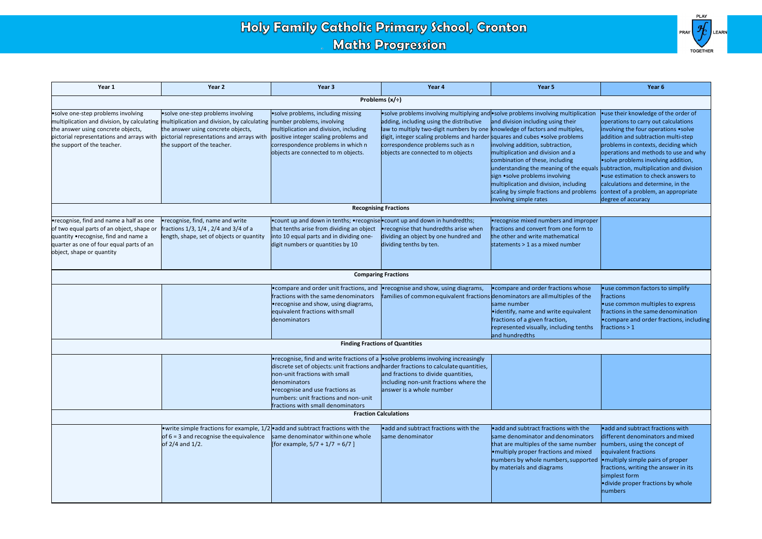| Year 1                                                                                                                                                                                                 | Year 2                                                                                                                                                                                                                         | Year 3                                                                                                                                                                                                                                                       | Year 4                                                                                                                                                                                                                                                                                                                                                                       | Year 5                                                                                                                                                                                                                                                                                                                                       | Year 6                                                                                                                                                                                                                                                                                                                                                                                                                                                                              |  |  |
|--------------------------------------------------------------------------------------------------------------------------------------------------------------------------------------------------------|--------------------------------------------------------------------------------------------------------------------------------------------------------------------------------------------------------------------------------|--------------------------------------------------------------------------------------------------------------------------------------------------------------------------------------------------------------------------------------------------------------|------------------------------------------------------------------------------------------------------------------------------------------------------------------------------------------------------------------------------------------------------------------------------------------------------------------------------------------------------------------------------|----------------------------------------------------------------------------------------------------------------------------------------------------------------------------------------------------------------------------------------------------------------------------------------------------------------------------------------------|-------------------------------------------------------------------------------------------------------------------------------------------------------------------------------------------------------------------------------------------------------------------------------------------------------------------------------------------------------------------------------------------------------------------------------------------------------------------------------------|--|--|
| Problems $(x/\div)$                                                                                                                                                                                    |                                                                                                                                                                                                                                |                                                                                                                                                                                                                                                              |                                                                                                                                                                                                                                                                                                                                                                              |                                                                                                                                                                                                                                                                                                                                              |                                                                                                                                                                                                                                                                                                                                                                                                                                                                                     |  |  |
| ·solve one-step problems involving<br>multiplication and division, by calculating<br>the answer using concrete objects,<br>pictorial representations and arrays with<br>the support of the teacher.    | ·solve one-step problems involving<br>multiplication and division, by calculating number problems, involving<br>the answer using concrete objects,<br>pictorial representations and arrays with<br>the support of the teacher. | • solve problems, including missing<br>multiplication and division, including<br>positive integer scaling problems and<br>correspondence problems in which n<br>objects are connected to m objects.                                                          | • solve problems involving multiplying and • solve problems involving multiplication<br>adding, including using the distributive<br>law to multiply two-digit numbers by one knowledge of factors and multiples,<br>digit, integer scaling problems and harder squares and cubes • solve problems<br>correspondence problems such as n<br>objects are connected to m objects | and division including using their<br>involving addition, subtraction,<br>multiplication and division and a<br>combination of these, including<br>understanding the meaning of the equals<br>sign • solve problems involving<br>multiplication and division, including<br>scaling by simple fractions and problems<br>involving simple rates | ·use their knowledge of the order of<br>operations to carry out calculations<br>involving the four operations • solve<br>addition and subtraction multi-step<br>problems in contexts, deciding which<br>operations and methods to use and why<br>.solve problems involving addition,<br>subtraction, multiplication and division<br><b>.</b> use estimation to check answers to<br>calculations and determine, in the<br>context of a problem, an appropriate<br>degree of accuracy |  |  |
|                                                                                                                                                                                                        |                                                                                                                                                                                                                                |                                                                                                                                                                                                                                                              | <b>Recognising Fractions</b>                                                                                                                                                                                                                                                                                                                                                 |                                                                                                                                                                                                                                                                                                                                              |                                                                                                                                                                                                                                                                                                                                                                                                                                                                                     |  |  |
| •recognise, find and name a half as one<br>of two equal parts of an object, shape or<br>quantity • recognise, find and name a<br>quarter as one of four equal parts of an<br>object, shape or quantity | •recognise, find, name and write<br>fractions 1/3, 1/4, 2/4 and 3/4 of a<br>length, shape, set of objects or quantity                                                                                                          | • count up and down in tenths; • recognise • count up and down in hundredths;<br>that tenths arise from dividing an object<br>into 10 equal parts and in dividing one-<br>digit numbers or quantities by 10                                                  | • recognise that hundredths arise when<br>dividing an object by one hundred and<br>dividing tenths by ten.                                                                                                                                                                                                                                                                   | •recognise mixed numbers and improper<br>fractions and convert from one form to<br>the other and write mathematical<br>statements > 1 as a mixed number                                                                                                                                                                                      |                                                                                                                                                                                                                                                                                                                                                                                                                                                                                     |  |  |
|                                                                                                                                                                                                        |                                                                                                                                                                                                                                |                                                                                                                                                                                                                                                              | <b>Comparing Fractions</b>                                                                                                                                                                                                                                                                                                                                                   |                                                                                                                                                                                                                                                                                                                                              |                                                                                                                                                                                                                                                                                                                                                                                                                                                                                     |  |  |
|                                                                                                                                                                                                        |                                                                                                                                                                                                                                | . compare and order unit fractions, and<br>fractions with the same denominators<br>• recognise and show, using diagrams,<br>equivalent fractions with small<br>denominators                                                                                  | • recognise and show, using diagrams,<br>families of common equivalent fractions denominators are all multiples of the                                                                                                                                                                                                                                                       | compare and order fractions whose<br>same number<br>• identify, name and write equivalent<br>fractions of a given fraction,<br>represented visually, including tenths<br>and hundredths                                                                                                                                                      | · use common factors to simplify<br>fractions<br>· use common multiples to express<br>fractions in the same denomination<br>compare and order fractions, including<br>fractions $>1$                                                                                                                                                                                                                                                                                                |  |  |
|                                                                                                                                                                                                        |                                                                                                                                                                                                                                |                                                                                                                                                                                                                                                              | <b>Finding Fractions of Quantities</b>                                                                                                                                                                                                                                                                                                                                       |                                                                                                                                                                                                                                                                                                                                              |                                                                                                                                                                                                                                                                                                                                                                                                                                                                                     |  |  |
|                                                                                                                                                                                                        |                                                                                                                                                                                                                                | • recognise, find and write fractions of a $\bullet$ solve problems involving increasingly<br>non-unit fractions with small<br>denominators<br>• recognise and use fractions as<br>numbers: unit fractions and non-unit<br>fractions with small denominators | discrete set of objects: unit fractions and harder fractions to calculate quantities,<br>and fractions to divide quantities,<br>including non-unit fractions where the<br>answer is a whole number                                                                                                                                                                           |                                                                                                                                                                                                                                                                                                                                              |                                                                                                                                                                                                                                                                                                                                                                                                                                                                                     |  |  |
| <b>Fraction Calculations</b>                                                                                                                                                                           |                                                                                                                                                                                                                                |                                                                                                                                                                                                                                                              |                                                                                                                                                                                                                                                                                                                                                                              |                                                                                                                                                                                                                                                                                                                                              |                                                                                                                                                                                                                                                                                                                                                                                                                                                                                     |  |  |
|                                                                                                                                                                                                        | $\bullet$ write simple fractions for example, 1/2 $\bullet$ add and subtract fractions with the<br>of $6 = 3$ and recognise the equivalence<br>of 2/4 and 1/2.                                                                 | same denominator within one whole<br>[for example, $5/7 + 1/7 = 6/7$ ]                                                                                                                                                                                       | add and subtract fractions with the<br>same denominator                                                                                                                                                                                                                                                                                                                      | add and subtract fractions with the<br>same denominator and denominators<br>that are multiples of the same number<br>. multiply proper fractions and mixed<br>numbers by whole numbers, supported<br>by materials and diagrams                                                                                                               | • add and subtract fractions with<br>different denominators and mixed<br>numbers, using the concept of<br>equivalent fractions<br>. multiply simple pairs of proper<br>fractions, writing the answer in its<br>simplest form<br>· divide proper fractions by whole<br>numbers                                                                                                                                                                                                       |  |  |

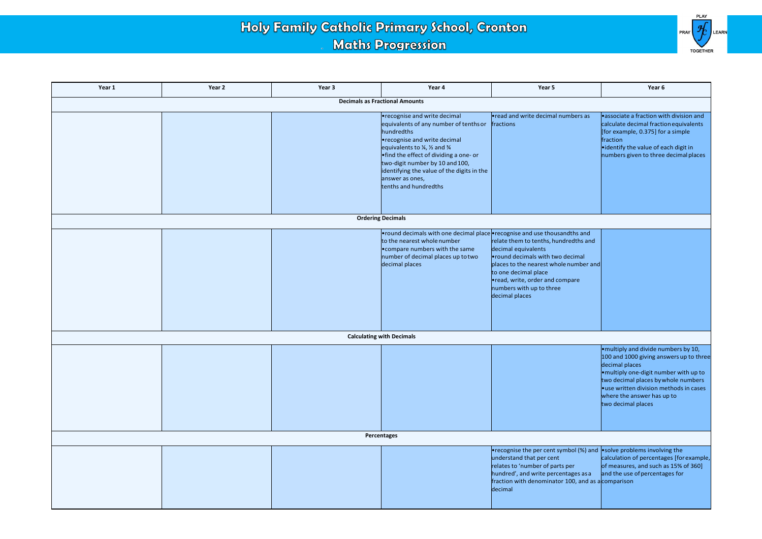| Year 1                                | Year 2      | Year 3 | Year 4                                                                                                                                                                                                                                                                                                                                                           | Year 5                                                                                                                                                                                                                                                | Year 6                                                                                                                                                                                                                                                                           |  |  |
|---------------------------------------|-------------|--------|------------------------------------------------------------------------------------------------------------------------------------------------------------------------------------------------------------------------------------------------------------------------------------------------------------------------------------------------------------------|-------------------------------------------------------------------------------------------------------------------------------------------------------------------------------------------------------------------------------------------------------|----------------------------------------------------------------------------------------------------------------------------------------------------------------------------------------------------------------------------------------------------------------------------------|--|--|
| <b>Decimals as Fractional Amounts</b> |             |        |                                                                                                                                                                                                                                                                                                                                                                  |                                                                                                                                                                                                                                                       |                                                                                                                                                                                                                                                                                  |  |  |
|                                       |             |        | • recognise and write decimal<br>equivalents of any number of tenths or<br>hundredths<br>• recognise and write decimal<br>equivalents to $\frac{1}{4}$ , $\frac{1}{2}$ and $\frac{1}{4}$<br>. find the effect of dividing a one- or<br>two-digit number by 10 and 100,<br>identifying the value of the digits in the<br>answer as ones,<br>tenths and hundredths | . read and write decimal numbers as<br>fractions                                                                                                                                                                                                      | • associate a fraction with division and<br>calculate decimal fraction equivalents<br>[for example, 0.375] for a simple<br>fraction<br>·identify the value of each digit in<br>numbers given to three decimal places                                                             |  |  |
|                                       |             |        | <b>Ordering Decimals</b>                                                                                                                                                                                                                                                                                                                                         |                                                                                                                                                                                                                                                       |                                                                                                                                                                                                                                                                                  |  |  |
|                                       |             |        | • round decimals with one decimal place • recognise and use thousandths and<br>to the nearest whole number<br>• compare numbers with the same<br>number of decimal places up to two<br>decimal places                                                                                                                                                            | relate them to tenths, hundredths and<br>decimal equivalents<br>. round decimals with two decimal<br>places to the nearest whole number and<br>to one decimal place<br>• read, write, order and compare<br>numbers with up to three<br>decimal places |                                                                                                                                                                                                                                                                                  |  |  |
|                                       |             |        | <b>Calculating with Decimals</b>                                                                                                                                                                                                                                                                                                                                 |                                                                                                                                                                                                                                                       |                                                                                                                                                                                                                                                                                  |  |  |
|                                       |             |        |                                                                                                                                                                                                                                                                                                                                                                  |                                                                                                                                                                                                                                                       | . multiply and divide numbers by 10,<br>100 and 1000 giving answers up to three<br>decimal places<br>. multiply one-digit number with up to<br>two decimal places by whole numbers<br>·use written division methods in cases<br>where the answer has up to<br>two decimal places |  |  |
|                                       | Percentages |        |                                                                                                                                                                                                                                                                                                                                                                  |                                                                                                                                                                                                                                                       |                                                                                                                                                                                                                                                                                  |  |  |
|                                       |             |        |                                                                                                                                                                                                                                                                                                                                                                  | • recognise the per cent symbol (%) and $\cdot$ solve problems involving the<br>understand that per cent<br>relates to 'number of parts per<br>hundred', and write percentages as a<br>fraction with denominator 100, and as a comparison<br>decimal  | calculation of percentages [for example,<br>of measures, and such as 15% of 360]<br>and the use of percentages for                                                                                                                                                               |  |  |

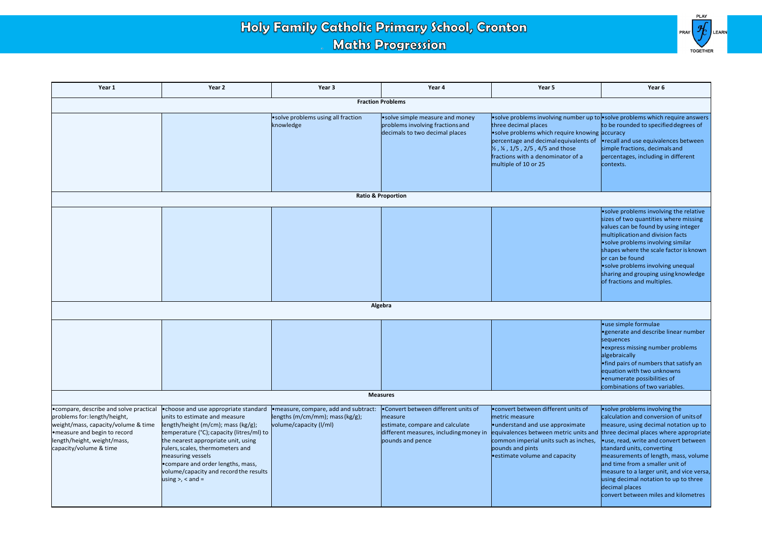| Year 1                                                                                                                                                                                                   | Year 2                                                                                                                                                                                                                                                                                                                                                               | Year 3                                                                                             | Year 4                                                                                                                                          | Year 5                                                                                                                                                                                                                                                                                                                    | Year 6                                                                                                                                                                                                                                                                                                                                                                                                                                                       |  |  |
|----------------------------------------------------------------------------------------------------------------------------------------------------------------------------------------------------------|----------------------------------------------------------------------------------------------------------------------------------------------------------------------------------------------------------------------------------------------------------------------------------------------------------------------------------------------------------------------|----------------------------------------------------------------------------------------------------|-------------------------------------------------------------------------------------------------------------------------------------------------|---------------------------------------------------------------------------------------------------------------------------------------------------------------------------------------------------------------------------------------------------------------------------------------------------------------------------|--------------------------------------------------------------------------------------------------------------------------------------------------------------------------------------------------------------------------------------------------------------------------------------------------------------------------------------------------------------------------------------------------------------------------------------------------------------|--|--|
| <b>Fraction Problems</b>                                                                                                                                                                                 |                                                                                                                                                                                                                                                                                                                                                                      |                                                                                                    |                                                                                                                                                 |                                                                                                                                                                                                                                                                                                                           |                                                                                                                                                                                                                                                                                                                                                                                                                                                              |  |  |
|                                                                                                                                                                                                          |                                                                                                                                                                                                                                                                                                                                                                      | • solve problems using all fraction<br>knowledge                                                   | .solve simple measure and money<br>problems involving fractions and<br>decimals to two decimal places                                           | • solve problems involving number up to • solve problems which require answers<br>three decimal places<br>·solve problems which require knowing accuracy<br>percentage and decimal equivalents of<br>$\frac{1}{2}$ , $\frac{1}{4}$ , 1/5, 2/5, 4/5 and those<br>fractions with a denominator of a<br>multiple of 10 or 25 | to be rounded to specified degrees of<br>• recall and use equivalences between<br>simple fractions, decimals and<br>percentages, including in different<br>contexts.                                                                                                                                                                                                                                                                                         |  |  |
|                                                                                                                                                                                                          |                                                                                                                                                                                                                                                                                                                                                                      |                                                                                                    | <b>Ratio &amp; Proportion</b>                                                                                                                   |                                                                                                                                                                                                                                                                                                                           |                                                                                                                                                                                                                                                                                                                                                                                                                                                              |  |  |
|                                                                                                                                                                                                          |                                                                                                                                                                                                                                                                                                                                                                      |                                                                                                    |                                                                                                                                                 |                                                                                                                                                                                                                                                                                                                           | .solve problems involving the relative<br>sizes of two quantities where missing<br>values can be found by using integer<br>multiplication and division facts<br>.solve problems involving similar<br>shapes where the scale factor is known<br>or can be found<br>.solve problems involving unequal<br>sharing and grouping using knowledge<br>of fractions and multiples.                                                                                   |  |  |
|                                                                                                                                                                                                          |                                                                                                                                                                                                                                                                                                                                                                      |                                                                                                    | Algebra                                                                                                                                         |                                                                                                                                                                                                                                                                                                                           |                                                                                                                                                                                                                                                                                                                                                                                                                                                              |  |  |
|                                                                                                                                                                                                          |                                                                                                                                                                                                                                                                                                                                                                      |                                                                                                    |                                                                                                                                                 |                                                                                                                                                                                                                                                                                                                           | ·use simple formulae<br>·generate and describe linear number<br>sequences<br>express missing number problems<br>algebraically<br>. find pairs of numbers that satisfy an<br>equation with two unknowns<br>• enumerate possibilities of<br>combinations of two variables.                                                                                                                                                                                     |  |  |
|                                                                                                                                                                                                          | <b>Measures</b>                                                                                                                                                                                                                                                                                                                                                      |                                                                                                    |                                                                                                                                                 |                                                                                                                                                                                                                                                                                                                           |                                                                                                                                                                                                                                                                                                                                                                                                                                                              |  |  |
| • compare, describe and solve practical<br>problems for: length/height,<br>weight/mass, capacity/volume & time<br>• measure and begin to record<br>length/height, weight/mass,<br>capacity/volume & time | • choose and use appropriate standard<br>units to estimate and measure<br>length/height (m/cm); mass (kg/g);<br>temperature (°C); capacity (litres/ml) to<br>the nearest appropriate unit, using<br>rulers, scales, thermometers and<br>measuring vessels<br>. compare and order lengths, mass,<br>volume/capacity and record the results<br>using $>$ , $<$ and $=$ | • measure, compare, add and subtract:<br>lengths (m/cm/mm); mass (kg/g);<br>volume/capacity (I/ml) | •Convert between different units of<br>measure<br>estimate, compare and calculate<br>different measures, including money in<br>pounds and pence | . convert between different units of<br>metric measure<br>understand and use approximate<br>equivalences between metric units and<br>common imperial units such as inches,<br>pounds and pints<br>estimate volume and capacity                                                                                            | .solve problems involving the<br>calculation and conversion of units of<br>measure, using decimal notation up to<br>three decimal places where appropriate<br>·use, read, write and convert between<br>standard units, converting<br>measurements of length, mass, volume<br>and time from a smaller unit of<br>measure to a larger unit, and vice versa,<br>using decimal notation to up to three<br>decimal places<br>convert between miles and kilometres |  |  |

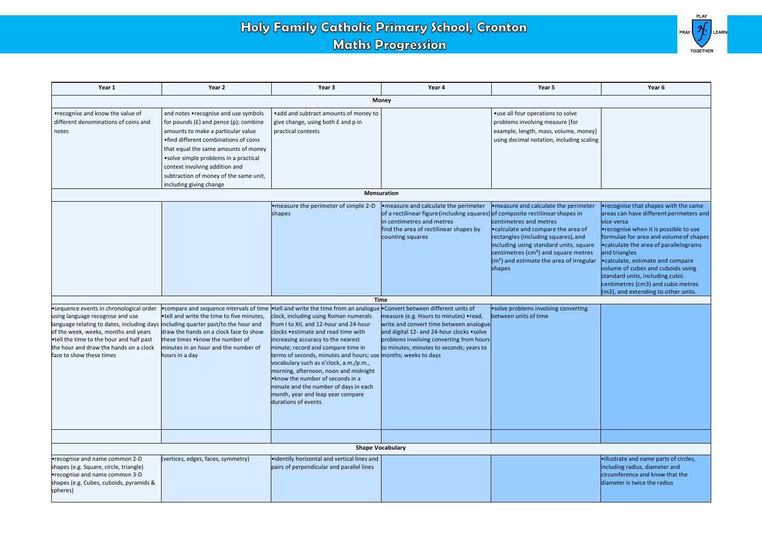| Year 1                                                                                                                                                                                                                                                                                                                      | Year 2                                                                                                                                                                                                                                                                                                                                                       | Year 3                                                                                                                                                                                                                                                                                                                                                                                                                                                                                                                                            | Year 4                                                                                                                                                                                                                                                          | Year 5                                                                                                                                                                                                                                                                                           | Year <sub>6</sub>                                                                                                                                                                                                                                                                                         |
|-----------------------------------------------------------------------------------------------------------------------------------------------------------------------------------------------------------------------------------------------------------------------------------------------------------------------------|--------------------------------------------------------------------------------------------------------------------------------------------------------------------------------------------------------------------------------------------------------------------------------------------------------------------------------------------------------------|---------------------------------------------------------------------------------------------------------------------------------------------------------------------------------------------------------------------------------------------------------------------------------------------------------------------------------------------------------------------------------------------------------------------------------------------------------------------------------------------------------------------------------------------------|-----------------------------------------------------------------------------------------------------------------------------------------------------------------------------------------------------------------------------------------------------------------|--------------------------------------------------------------------------------------------------------------------------------------------------------------------------------------------------------------------------------------------------------------------------------------------------|-----------------------------------------------------------------------------------------------------------------------------------------------------------------------------------------------------------------------------------------------------------------------------------------------------------|
|                                                                                                                                                                                                                                                                                                                             |                                                                                                                                                                                                                                                                                                                                                              |                                                                                                                                                                                                                                                                                                                                                                                                                                                                                                                                                   | <b>Money</b>                                                                                                                                                                                                                                                    |                                                                                                                                                                                                                                                                                                  |                                                                                                                                                                                                                                                                                                           |
| •recognise and know the value of<br>different denominations of coins and<br>notes                                                                                                                                                                                                                                           | and notes • recognise and use symbols<br>for pounds $(E)$ and pence $(p)$ ; combine<br>amounts to make a particular value<br>• find different combinations of coins<br>that equal the same amounts of money<br>• solve simple problems in a practical<br>context involving addition and<br>subtraction of money of the same unit,<br>including giving change | • add and subtract amounts of money to<br>give change, using both £ and p in<br>practical contexts                                                                                                                                                                                                                                                                                                                                                                                                                                                |                                                                                                                                                                                                                                                                 | •use all four operations to solve<br>problems involving measure [for<br>example, length, mass, volume, money]<br>using decimal notation, including scaling                                                                                                                                       |                                                                                                                                                                                                                                                                                                           |
|                                                                                                                                                                                                                                                                                                                             |                                                                                                                                                                                                                                                                                                                                                              |                                                                                                                                                                                                                                                                                                                                                                                                                                                                                                                                                   | <b>Mensuration</b>                                                                                                                                                                                                                                              |                                                                                                                                                                                                                                                                                                  |                                                                                                                                                                                                                                                                                                           |
|                                                                                                                                                                                                                                                                                                                             |                                                                                                                                                                                                                                                                                                                                                              | • measure the perimeter of simple 2-D<br>shapes                                                                                                                                                                                                                                                                                                                                                                                                                                                                                                   | • measure and calculate the perimeter<br>of a rectilinear figure (including squares) of composite rectilinear shapes in<br>in centimetres and metres<br>find the area of rectilinear shapes by<br>counting squares                                              | • measure and calculate the perimeter<br>centimetres and metres<br>calculate and compare the area of<br>rectangles (including squares), and<br>including using standard units, square<br>centimetres (cm <sup>2</sup> ) and square metres<br>$(m2)$ and estimate the area of irregular<br>shapes | • recognise that shapes<br>areas can have differen<br>vice versa<br>• recognise when it is po<br>formulae for area and v<br>• calculate the area of p<br>and triangles<br>calculate, estimate an<br>volume of cubes and cu<br>standard units, includin<br>centimetres (cm3) and<br>(m3), and extending to |
|                                                                                                                                                                                                                                                                                                                             |                                                                                                                                                                                                                                                                                                                                                              |                                                                                                                                                                                                                                                                                                                                                                                                                                                                                                                                                   | <b>Time</b>                                                                                                                                                                                                                                                     |                                                                                                                                                                                                                                                                                                  |                                                                                                                                                                                                                                                                                                           |
| • sequence events in chronological order<br>using language recognise and use<br>language relating to dates, including days including quarter past/to the hour and<br>of the week, weeks, months and years<br>.tell the time to the hour and half past<br>the hour and draw the hands on a clock<br>face to show these times | . compare and sequence intervals of time<br>.tell and write the time to five minutes,<br>draw the hands on a clock face to show<br>these times . know the number of<br>minutes in an hour and the number of<br>hours in a day                                                                                                                                | . etell and write the time from an analogue<br>clock, including using Roman numerals<br>from I to XII, and 12-hour and 24-hour<br>clocks • estimate and read time with<br>increasing accuracy to the nearest<br>minute; record and compare time in<br>terms of seconds, minutes and hours; use months; weeks to days<br>vocabulary such as o'clock, a.m./p.m.,<br>morning, afternoon, noon and midnight<br>. know the number of seconds in a<br>minute and the number of days in each<br>month, year and leap year compare<br>durations of events | •Convert between different units of<br>measure (e.g. Hours to minutes) • read,<br>write and convert time between analogue<br>and digital 12- and 24-hour clocks • solve<br>problems involving converting from hours<br>to minutes; minutes to seconds; years to | .solve problems involving converting<br>between units of time                                                                                                                                                                                                                                    |                                                                                                                                                                                                                                                                                                           |
|                                                                                                                                                                                                                                                                                                                             |                                                                                                                                                                                                                                                                                                                                                              |                                                                                                                                                                                                                                                                                                                                                                                                                                                                                                                                                   |                                                                                                                                                                                                                                                                 |                                                                                                                                                                                                                                                                                                  |                                                                                                                                                                                                                                                                                                           |
|                                                                                                                                                                                                                                                                                                                             |                                                                                                                                                                                                                                                                                                                                                              |                                                                                                                                                                                                                                                                                                                                                                                                                                                                                                                                                   | <b>Shape Vocabulary</b>                                                                                                                                                                                                                                         |                                                                                                                                                                                                                                                                                                  |                                                                                                                                                                                                                                                                                                           |
| •recognise and name common 2-D<br>shapes (e.g. Square, circle, triangle)<br>•recognise and name common 3-D<br>shapes (e.g. Cubes, cuboids, pyramids &<br>spheres)                                                                                                                                                           | (vertices, edges, faces, symmetry)                                                                                                                                                                                                                                                                                                                           | ·identify horizontal and vertical lines and<br>pairs of perpendicular and parallel lines                                                                                                                                                                                                                                                                                                                                                                                                                                                          |                                                                                                                                                                                                                                                                 |                                                                                                                                                                                                                                                                                                  | ·illustrate and name par<br>including radius, diamet<br>circumference and know<br>diameter is twice the rad                                                                                                                                                                                               |



|                                                                                     | Year 6                                                                                                                                                                                                                                                                                                                                                                                                                                 |
|-------------------------------------------------------------------------------------|----------------------------------------------------------------------------------------------------------------------------------------------------------------------------------------------------------------------------------------------------------------------------------------------------------------------------------------------------------------------------------------------------------------------------------------|
|                                                                                     |                                                                                                                                                                                                                                                                                                                                                                                                                                        |
| e<br>ır<br>. money]<br>ng scaling                                                   |                                                                                                                                                                                                                                                                                                                                                                                                                                        |
|                                                                                     |                                                                                                                                                                                                                                                                                                                                                                                                                                        |
| rimeter<br>$\overline{\mathsf{in}}$<br>ea of<br>and<br>square<br>netres<br>rregular | • recognise that shapes with the same<br>areas can have different perimeters and<br>vice versa<br>•recognise when it is possible to use<br>formulae for area and volume of shapes<br>• calculate the area of parallelograms<br>and triangles<br>• calculate, estimate and compare<br>volume of cubes and cuboids using<br>standard units, including cubic<br>centimetres (cm3) and cubic metres<br>(m3), and extending to other units. |
|                                                                                     |                                                                                                                                                                                                                                                                                                                                                                                                                                        |
| rting                                                                               |                                                                                                                                                                                                                                                                                                                                                                                                                                        |
|                                                                                     |                                                                                                                                                                                                                                                                                                                                                                                                                                        |
|                                                                                     |                                                                                                                                                                                                                                                                                                                                                                                                                                        |
|                                                                                     | ·illustrate and name parts of circles,<br>including radius, diameter and<br>circumference and know that the<br>diameter is twice the radius                                                                                                                                                                                                                                                                                            |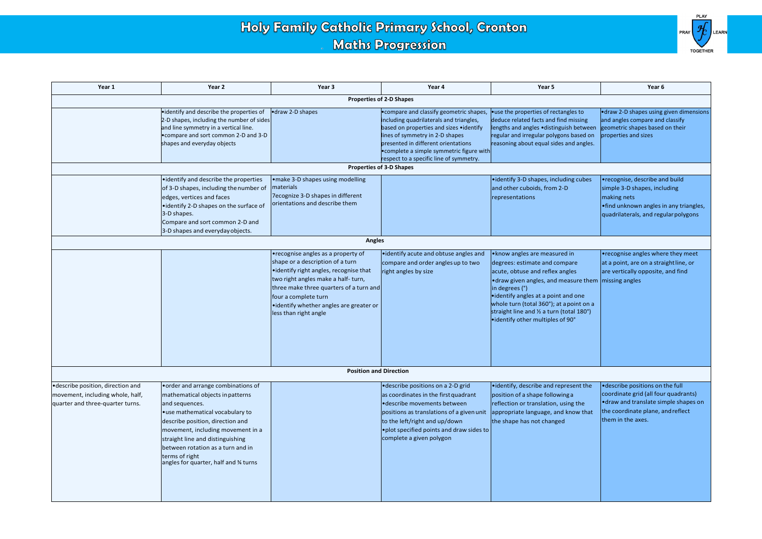| Year 1                                                                                                     | Year 2                                                                                                                                                                                                                                                                                                                                 | Year 3                                                                                                                                                                                                                                                                                          | Year 4                                                                                                                                                                                                                                                                                                 | Year 5                                                                                                                                                                                                                                                                                                                                              | Year 6                                                                                                                                                                                    |  |  |  |
|------------------------------------------------------------------------------------------------------------|----------------------------------------------------------------------------------------------------------------------------------------------------------------------------------------------------------------------------------------------------------------------------------------------------------------------------------------|-------------------------------------------------------------------------------------------------------------------------------------------------------------------------------------------------------------------------------------------------------------------------------------------------|--------------------------------------------------------------------------------------------------------------------------------------------------------------------------------------------------------------------------------------------------------------------------------------------------------|-----------------------------------------------------------------------------------------------------------------------------------------------------------------------------------------------------------------------------------------------------------------------------------------------------------------------------------------------------|-------------------------------------------------------------------------------------------------------------------------------------------------------------------------------------------|--|--|--|
|                                                                                                            | <b>Properties of 2-D Shapes</b>                                                                                                                                                                                                                                                                                                        |                                                                                                                                                                                                                                                                                                 |                                                                                                                                                                                                                                                                                                        |                                                                                                                                                                                                                                                                                                                                                     |                                                                                                                                                                                           |  |  |  |
|                                                                                                            | •identify and describe the properties of<br>2-D shapes, including the number of sides<br>and line symmetry in a vertical line.<br>. compare and sort common 2-D and 3-D<br>shapes and everyday objects                                                                                                                                 | •draw 2-D shapes                                                                                                                                                                                                                                                                                | <b>• compare and classify geometric shapes,</b><br>including quadrilaterals and triangles,<br>based on properties and sizes • identify<br>lines of symmetry in 2-D shapes<br>presented in different orientations<br>complete a simple symmetric figure with<br>respect to a specific line of symmetry. | $\bullet$ use the properties of rectangles to<br>deduce related facts and find missing<br>lengths and angles .distinguish between<br>regular and irregular polygons based on<br>reasoning about equal sides and angles.                                                                                                                             | <b>.</b> draw 2-D shapes using given dimensions<br>and angles compare and classify<br>geometric shapes based on their<br>properties and sizes                                             |  |  |  |
|                                                                                                            |                                                                                                                                                                                                                                                                                                                                        |                                                                                                                                                                                                                                                                                                 | <b>Properties of 3-D Shapes</b>                                                                                                                                                                                                                                                                        |                                                                                                                                                                                                                                                                                                                                                     |                                                                                                                                                                                           |  |  |  |
|                                                                                                            | • identify and describe the properties<br>of 3-D shapes, including the number of<br>edges, vertices and faces<br>• identify 2-D shapes on the surface of<br>3-D shapes.<br>Compare and sort common 2-D and<br>3-D shapes and everyday objects.                                                                                         | • make 3-D shapes using modelling<br>materials<br>7ecognize 3-D shapes in different<br>orientations and describe them                                                                                                                                                                           |                                                                                                                                                                                                                                                                                                        | •identify 3-D shapes, including cubes<br>and other cuboids, from 2-D<br>representations                                                                                                                                                                                                                                                             | •recognise, describe and build<br>simple 3-D shapes, including<br>making nets<br>•find unknown angles in any triangles,<br>quadrilaterals, and regular polygons                           |  |  |  |
|                                                                                                            |                                                                                                                                                                                                                                                                                                                                        | <b>Angles</b>                                                                                                                                                                                                                                                                                   |                                                                                                                                                                                                                                                                                                        |                                                                                                                                                                                                                                                                                                                                                     |                                                                                                                                                                                           |  |  |  |
|                                                                                                            |                                                                                                                                                                                                                                                                                                                                        | •recognise angles as a property of<br>shape or a description of a turn<br>• identify right angles, recognise that<br>two right angles make a half-turn,<br>three make three quarters of a turn and<br>four a complete turn<br>• identify whether angles are greater or<br>less than right angle | •identify acute and obtuse angles and<br>compare and order angles up to two<br>right angles by size                                                                                                                                                                                                    | • know angles are measured in<br>degrees: estimate and compare<br>acute, obtuse and reflex angles<br><b>.</b> draw given angles, and measure them<br>in degrees (°)<br>• identify angles at a point and one<br>whole turn (total 360°); at a point on a<br>straight line and $\frac{1}{2}$ a turn (total 180°)<br>• identify other multiples of 90° | ●recognise angles where they meet<br>at a point, are on a straight line, or<br>are vertically opposite, and find<br>missing angles                                                        |  |  |  |
|                                                                                                            |                                                                                                                                                                                                                                                                                                                                        | <b>Position and Direction</b>                                                                                                                                                                                                                                                                   |                                                                                                                                                                                                                                                                                                        |                                                                                                                                                                                                                                                                                                                                                     |                                                                                                                                                                                           |  |  |  |
| • describe position, direction and<br>movement, including whole, half,<br>quarter and three-quarter turns. | order and arrange combinations of<br>mathematical objects in patterns<br>and sequences.<br>·use mathematical vocabulary to<br>describe position, direction and<br>movement, including movement in a<br>straight line and distinguishing<br>between rotation as a turn and in<br>terms of right<br>angles for quarter, half and % turns |                                                                                                                                                                                                                                                                                                 | <b>-describe positions on a 2-D grid</b><br>as coordinates in the first quadrant<br>describe movements between<br>positions as translations of a given unit<br>to the left/right and up/down<br>. plot specified points and draw sides to<br>complete a given polygon                                  | • identify, describe and represent the<br>position of a shape following a<br>reflection or translation, using the<br>appropriate language, and know that<br>the shape has not changed                                                                                                                                                               | <b>.</b> describe positions on the full<br>coordinate grid (all four quadrants)<br><b>.</b> draw and translate simple shapes on<br>the coordinate plane, and reflect<br>them in the axes. |  |  |  |

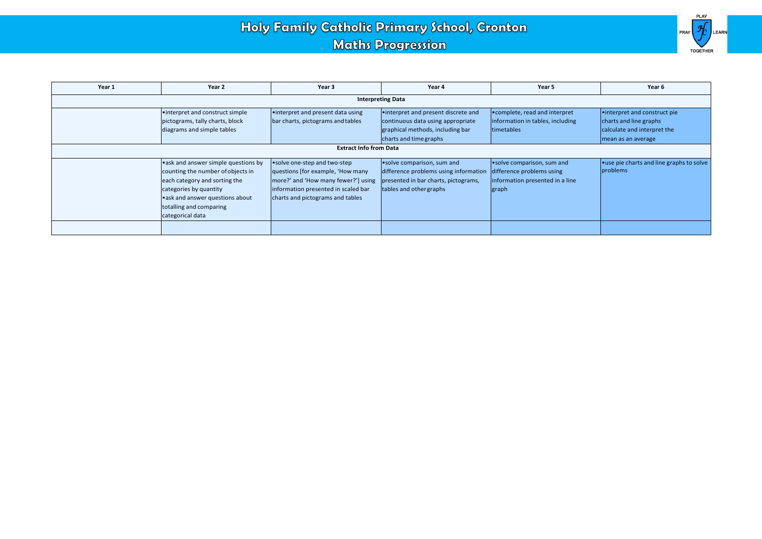| Year 1 | Year 2                               | Year 3                                   | Year 4                                      | Year 5                           | Year 6                                            |  |  |  |
|--------|--------------------------------------|------------------------------------------|---------------------------------------------|----------------------------------|---------------------------------------------------|--|--|--|
|        | <b>Interpreting Data</b>             |                                          |                                             |                                  |                                                   |  |  |  |
|        | • interpret and construct simple     | <i>vinterpret and present data using</i> | <b>.</b> interpret and present discrete and | .complete, read and interpret    | $\bullet$ interpret and construct pie             |  |  |  |
|        | pictograms, tally charts, block      | bar charts, pictograms and tables        | continuous data using appropriate           | information in tables, including | charts and line graphs                            |  |  |  |
|        | diagrams and simple tables           |                                          | graphical methods, including bar            | timetables                       | calculate and interpret the                       |  |  |  |
|        |                                      |                                          | charts and time graphs                      |                                  | mean as an average                                |  |  |  |
|        | <b>Extract Info from Data</b>        |                                          |                                             |                                  |                                                   |  |  |  |
|        |                                      |                                          |                                             |                                  |                                                   |  |  |  |
|        | • ask and answer simple questions by | .solve one-step and two-step             | ·solve comparison, sum and                  | • solve comparison, sum and      | $\bullet$ use pie charts and line graphs to solve |  |  |  |
|        | counting the number of objects in    | questions [for example, 'How many        | difference problems using information       | difference problems using        | <b>problems</b>                                   |  |  |  |
|        | each category and sorting the        | more?' and 'How many fewer?'] using      | presented in bar charts, pictograms,        | information presented in a line  |                                                   |  |  |  |
|        | categories by quantity               | information presented in scaled bar      | tables and other graphs                     | graph                            |                                                   |  |  |  |
|        | • ask and answer questions about     | charts and pictograms and tables         |                                             |                                  |                                                   |  |  |  |
|        | totalling and comparing              |                                          |                                             |                                  |                                                   |  |  |  |
|        | categorical data                     |                                          |                                             |                                  |                                                   |  |  |  |
|        |                                      |                                          |                                             |                                  |                                                   |  |  |  |

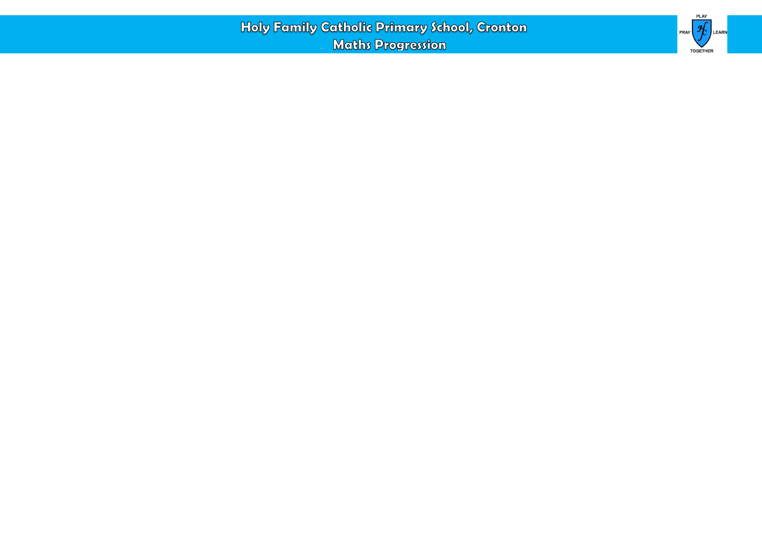